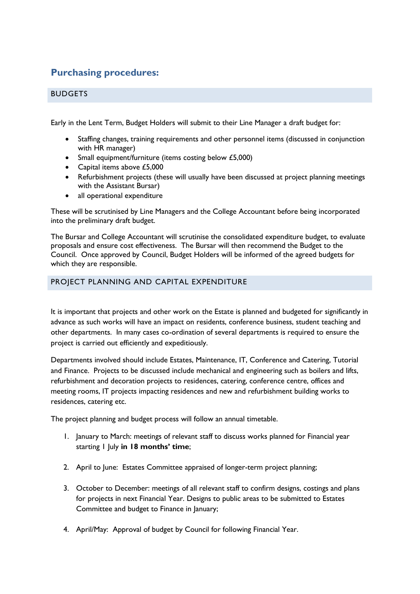# **Purchasing procedures:**

# BUDGETS

Early in the Lent Term, Budget Holders will submit to their Line Manager a draft budget for:

- Staffing changes, training requirements and other personnel items (discussed in conjunction with HR manager)
- Small equipment/furniture (items costing below £5,000)
- Capital items above £5,000
- Refurbishment projects (these will usually have been discussed at project planning meetings with the Assistant Bursar)
- all operational expenditure

These will be scrutinised by Line Managers and the College Accountant before being incorporated into the preliminary draft budget.

The Bursar and College Accountant will scrutinise the consolidated expenditure budget, to evaluate proposals and ensure cost effectiveness. The Bursar will then recommend the Budget to the Council. Once approved by Council, Budget Holders will be informed of the agreed budgets for which they are responsible.

## PROJECT PLANNING AND CAPITAL EXPENDITURE

It is important that projects and other work on the Estate is planned and budgeted for significantly in advance as such works will have an impact on residents, conference business, student teaching and other departments. In many cases co-ordination of several departments is required to ensure the project is carried out efficiently and expeditiously.

Departments involved should include Estates, Maintenance, IT, Conference and Catering, Tutorial and Finance. Projects to be discussed include mechanical and engineering such as boilers and lifts, refurbishment and decoration projects to residences, catering, conference centre, offices and meeting rooms, IT projects impacting residences and new and refurbishment building works to residences, catering etc.

The project planning and budget process will follow an annual timetable.

- 1. January to March: meetings of relevant staff to discuss works planned for Financial year starting 1 July **in 18 months' time**;
- 2. April to June: Estates Committee appraised of longer-term project planning;
- 3. October to December: meetings of all relevant staff to confirm designs, costings and plans for projects in next Financial Year. Designs to public areas to be submitted to Estates Committee and budget to Finance in January;
- 4. April/May: Approval of budget by Council for following Financial Year.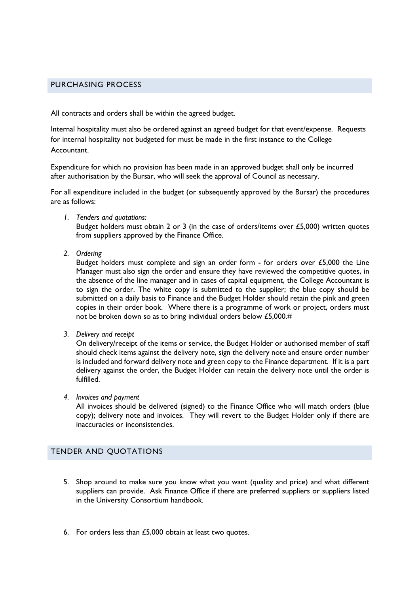# PURCHASING PROCESS

All contracts and orders shall be within the agreed budget.

Internal hospitality must also be ordered against an agreed budget for that event/expense. Requests for internal hospitality not budgeted for must be made in the first instance to the College Accountant.

Expenditure for which no provision has been made in an approved budget shall only be incurred after authorisation by the Bursar, who will seek the approval of Council as necessary.

For all expenditure included in the budget (or subsequently approved by the Bursar) the procedures are as follows:

*1. Tenders and quotations:*

Budget holders must obtain 2 or 3 (in the case of orders/items over  $£5,000$ ) written quotes from suppliers approved by the Finance Office.

*2. Ordering*

Budget holders must complete and sign an order form - for orders over £5,000 the Line Manager must also sign the order and ensure they have reviewed the competitive quotes, in the absence of the line manager and in cases of capital equipment, the College Accountant is to sign the order. The white copy is submitted to the supplier; the blue copy should be submitted on a daily basis to Finance and the Budget Holder should retain the pink and green copies in their order book. Where there is a programme of work or project, orders must not be broken down so as to bring individual orders below £5,000.#

*3. Delivery and receipt*

On delivery/receipt of the items or service, the Budget Holder or authorised member of staff should check items against the delivery note, sign the delivery note and ensure order number is included and forward delivery note and green copy to the Finance department. If it is a part delivery against the order, the Budget Holder can retain the delivery note until the order is fulfilled.

*4. Invoices and payment*

All invoices should be delivered (signed) to the Finance Office who will match orders (blue copy); delivery note and invoices. They will revert to the Budget Holder only if there are inaccuracies or inconsistencies.

# TENDER AND QUOTATIONS

- 5. Shop around to make sure you know what you want (quality and price) and what different suppliers can provide. Ask Finance Office if there are preferred suppliers or suppliers listed in the University Consortium handbook.
- 6. For orders less than £5,000 obtain at least two quotes.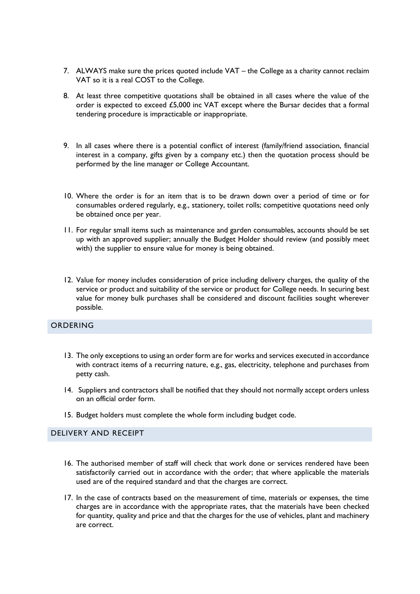- 7. ALWAYS make sure the prices quoted include VAT the College as a charity cannot reclaim VAT so it is a real COST to the College.
- 8. At least three competitive quotations shall be obtained in all cases where the value of the order is expected to exceed £5,000 inc VAT except where the Bursar decides that a formal tendering procedure is impracticable or inappropriate.
- 9. In all cases where there is a potential conflict of interest (family/friend association, financial interest in a company, gifts given by a company etc.) then the quotation process should be performed by the line manager or College Accountant.
- 10. Where the order is for an item that is to be drawn down over a period of time or for consumables ordered regularly, e.g., stationery, toilet rolls; competitive quotations need only be obtained once per year.
- 11. For regular small items such as maintenance and garden consumables, accounts should be set up with an approved supplier; annually the Budget Holder should review (and possibly meet with) the supplier to ensure value for money is being obtained.
- 12. Value for money includes consideration of price including delivery charges, the quality of the service or product and suitability of the service or product for College needs. In securing best value for money bulk purchases shall be considered and discount facilities sought wherever possible.

### **ORDERING**

- 13. The only exceptions to using an order form are for works and services executed in accordance with contract items of a recurring nature, e.g., gas, electricity, telephone and purchases from petty cash.
- 14. Suppliers and contractors shall be notified that they should not normally accept orders unless on an official order form.
- 15. Budget holders must complete the whole form including budget code.

### DELIVERY AND RECEIPT

- 16. The authorised member of staff will check that work done or services rendered have been satisfactorily carried out in accordance with the order; that where applicable the materials used are of the required standard and that the charges are correct.
- 17. In the case of contracts based on the measurement of time, materials or expenses, the time charges are in accordance with the appropriate rates, that the materials have been checked for quantity, quality and price and that the charges for the use of vehicles, plant and machinery are correct.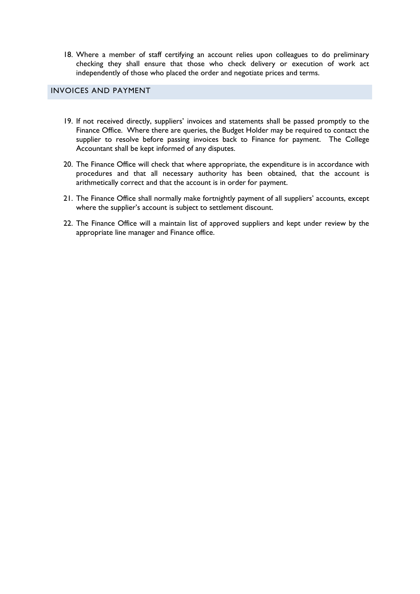18. Where a member of staff certifying an account relies upon colleagues to do preliminary checking they shall ensure that those who check delivery or execution of work act independently of those who placed the order and negotiate prices and terms.

## INVOICES AND PAYMENT

- 19. If not received directly, suppliers' invoices and statements shall be passed promptly to the Finance Office. Where there are queries, the Budget Holder may be required to contact the supplier to resolve before passing invoices back to Finance for payment. The College Accountant shall be kept informed of any disputes.
- 20. The Finance Office will check that where appropriate, the expenditure is in accordance with procedures and that all necessary authority has been obtained, that the account is arithmetically correct and that the account is in order for payment.
- 21. The Finance Office shall normally make fortnightly payment of all suppliers' accounts, except where the supplier's account is subject to settlement discount.
- 22. The Finance Office will a maintain list of approved suppliers and kept under review by the appropriate line manager and Finance office.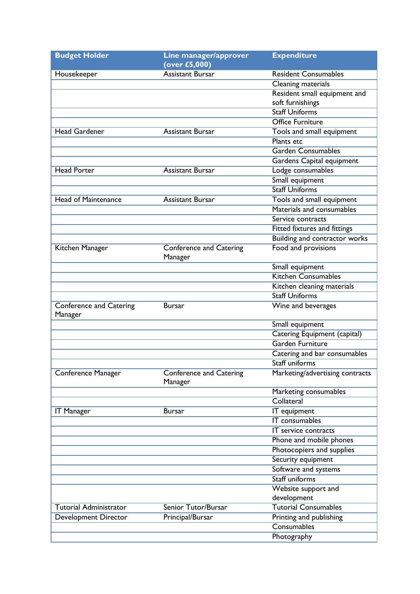| <b>Budget Holder</b>                      | Line manager/approver<br>(over $£5,000$ ) | <b>Expenditure</b>                               |
|-------------------------------------------|-------------------------------------------|--------------------------------------------------|
| Housekeeper                               | <b>Assistant Bursar</b>                   | <b>Resident Consumables</b>                      |
|                                           |                                           | Cleaning materials                               |
|                                           |                                           | Resident small equipment and<br>soft furnishings |
|                                           |                                           | <b>Staff Uniforms</b>                            |
|                                           |                                           | <b>Office Furniture</b>                          |
| <b>Head Gardener</b>                      | <b>Assistant Bursar</b>                   | Tools and small equipment                        |
|                                           |                                           | Plants etc                                       |
|                                           |                                           | <b>Garden Consumables</b>                        |
|                                           |                                           | Gardens Capital equipment                        |
| <b>Head Porter</b>                        | <b>Assistant Bursar</b>                   | Lodge consumables                                |
|                                           |                                           | Small equipment                                  |
|                                           |                                           | <b>Staff Uniforms</b>                            |
| <b>Head of Maintenance</b>                | <b>Assistant Bursar</b>                   | Tools and small equipment                        |
|                                           |                                           | Materials and consumables                        |
|                                           |                                           | Service contracts                                |
|                                           |                                           | Fitted fixtures and fittings                     |
|                                           |                                           | Building and contractor works                    |
| Kitchen Manager                           | <b>Conference and Catering</b>            | Food and provisions                              |
|                                           | Manager                                   |                                                  |
|                                           |                                           | Small equipment                                  |
|                                           |                                           | <b>Kitchen Consumables</b>                       |
|                                           |                                           | Kitchen cleaning materials                       |
|                                           |                                           | <b>Staff Uniforms</b>                            |
| <b>Conference and Catering</b><br>Manager | <b>Bursar</b>                             | Wine and beverages                               |
|                                           |                                           | Small equipment                                  |
|                                           |                                           | <b>Catering Equipment (capital)</b>              |
|                                           |                                           | <b>Garden Furniture</b>                          |
|                                           |                                           | Catering and bar consumables                     |
|                                           |                                           | <b>Staff uniforms</b>                            |
| Conference Manager                        | <b>Conference and Catering</b><br>Manager | Marketing/advertising contracts                  |
|                                           |                                           | Marketing consumables                            |
|                                           |                                           | Collateral                                       |
| <b>IT Manager</b>                         | <b>Bursar</b>                             | IT equipment                                     |
|                                           |                                           | <b>IT</b> consumables                            |
|                                           |                                           | IT service contracts                             |
|                                           |                                           | Phone and mobile phones                          |
|                                           |                                           | Photocopiers and supplies                        |
|                                           |                                           | Security equipment                               |
|                                           |                                           | Software and systems                             |
|                                           |                                           | <b>Staff uniforms</b>                            |
|                                           |                                           | Website support and                              |
|                                           |                                           | development                                      |
| <b>Tutorial Administrator</b>             | Senior Tutor/Bursar                       | <b>Tutorial Consumables</b>                      |
| <b>Development Director</b>               | Principal/Bursar                          | Printing and publishing                          |
|                                           |                                           | Consumables                                      |
|                                           |                                           |                                                  |
|                                           |                                           | Photography                                      |